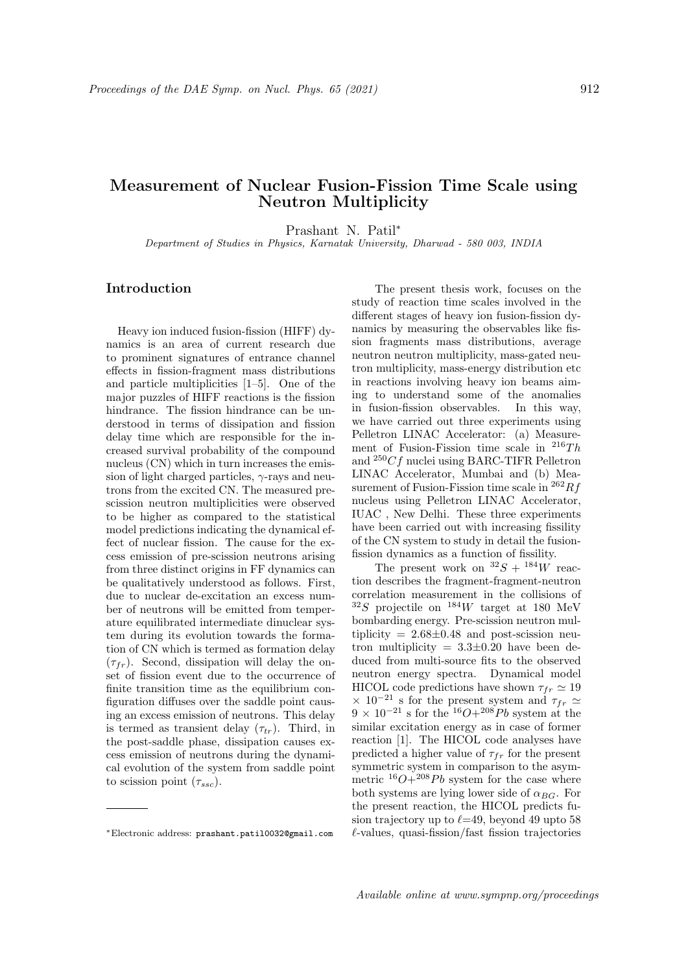## Measurement of Nuclear Fusion-Fission Time Scale using Neutron Multiplicity

Prashant N. Patil<sup>∗</sup>

Department of Studies in Physics, Karnatak University, Dharwad - 580 003, INDIA

## Introduction

Heavy ion induced fusion-fission (HIFF) dynamics is an area of current research due to prominent signatures of entrance channel effects in fission-fragment mass distributions and particle multiplicities [1–5]. One of the major puzzles of HIFF reactions is the fission hindrance. The fission hindrance can be understood in terms of dissipation and fission delay time which are responsible for the increased survival probability of the compound nucleus (CN) which in turn increases the emission of light charged particles,  $\gamma$ -rays and neutrons from the excited CN. The measured prescission neutron multiplicities were observed to be higher as compared to the statistical model predictions indicating the dynamical effect of nuclear fission. The cause for the excess emission of pre-scission neutrons arising from three distinct origins in FF dynamics can be qualitatively understood as follows. First, due to nuclear de-excitation an excess number of neutrons will be emitted from temperature equilibrated intermediate dinuclear system during its evolution towards the formation of CN which is termed as formation delay  $(\tau_{fr})$ . Second, dissipation will delay the onset of fission event due to the occurrence of finite transition time as the equilibrium configuration diffuses over the saddle point causing an excess emission of neutrons. This delay is termed as transient delay  $(\tau_{tr})$ . Third, in the post-saddle phase, dissipation causes excess emission of neutrons during the dynamical evolution of the system from saddle point to scission point  $(\tau_{ssc})$ .

The present thesis work, focuses on the study of reaction time scales involved in the different stages of heavy ion fusion-fission dynamics by measuring the observables like fission fragments mass distributions, average neutron neutron multiplicity, mass-gated neutron multiplicity, mass-energy distribution etc in reactions involving heavy ion beams aiming to understand some of the anomalies in fusion-fission observables. In this way, we have carried out three experiments using Pelletron LINAC Accelerator: (a) Measurement of Fusion-Fission time scale in  $^{216}Th$ and  ${}^{250}Cf$  nuclei using BARC-TIFR Pelletron LINAC Accelerator, Mumbai and (b) Measurement of Fusion-Fission time scale in  $^{262}Rf$ nucleus using Pelletron LINAC Accelerator, IUAC , New Delhi. These three experiments have been carried out with increasing fissility of the CN system to study in detail the fusionfission dynamics as a function of fissility.

The present work on  ${}^{32}S + {}^{184}W$  reaction describes the fragment-fragment-neutron correlation measurement in the collisions of  $32S$  projectile on  $184W$  target at 180 MeV bombarding energy. Pre-scission neutron multiplicity  $= 2.68 \pm 0.48$  and post-scission neutron multiplicity  $= 3.3 \pm 0.20$  have been deduced from multi-source fits to the observed neutron energy spectra. Dynamical model HICOL code predictions have shown  $\tau_{fr} \simeq 19$  $\times$  10<sup>-21</sup> s for the present system and  $\tau_{fr} \simeq$  $9 \times 10^{-21}$  s for the <sup>16</sup>O+<sup>208</sup>Pb system at the similar excitation energy as in case of former reaction [1]. The HICOL code analyses have predicted a higher value of  $\tau_{fr}$  for the present symmetric system in comparison to the asymmetric  ${}^{16}O+{}^{208}Pb$  system for the case where both systems are lying lower side of  $\alpha_{BG}$ . For the present reaction, the HICOL predicts fusion trajectory up to  $\ell$ =49, beyond 49 upto 58  $\ell$ -values, quasi-fission/fast fission trajectories

<sup>∗</sup>Electronic address: prashant.patil0032@gmail.com